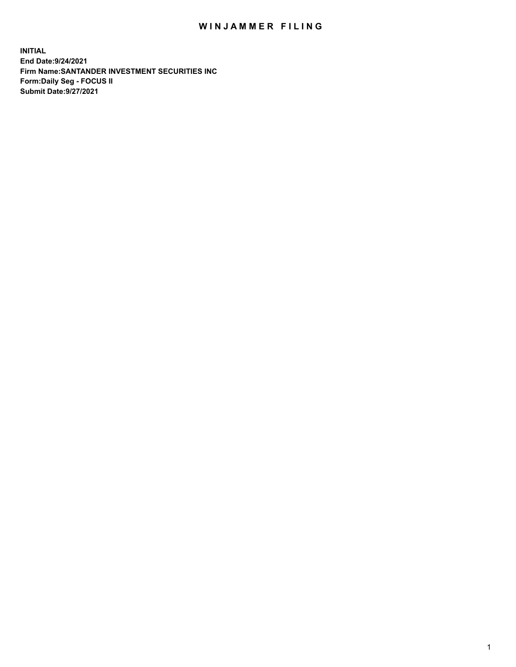## WIN JAMMER FILING

**INITIAL End Date:9/24/2021 Firm Name:SANTANDER INVESTMENT SECURITIES INC Form:Daily Seg - FOCUS II Submit Date:9/27/2021**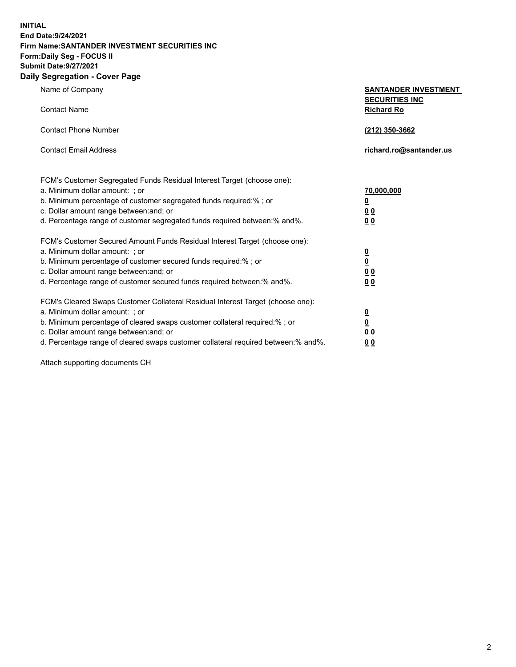**INITIAL End Date:9/24/2021 Firm Name:SANTANDER INVESTMENT SECURITIES INC Form:Daily Seg - FOCUS II Submit Date:9/27/2021 Daily Segregation - Cover Page**

| Name of Company<br><b>Contact Name</b>                                                                                                                                                                                                                                                                                         | <b>SANTANDER INVESTMENT</b><br><b>SECURITIES INC</b><br><b>Richard Ro</b> |
|--------------------------------------------------------------------------------------------------------------------------------------------------------------------------------------------------------------------------------------------------------------------------------------------------------------------------------|---------------------------------------------------------------------------|
| <b>Contact Phone Number</b>                                                                                                                                                                                                                                                                                                    | (212) 350-3662                                                            |
| <b>Contact Email Address</b>                                                                                                                                                                                                                                                                                                   | richard.ro@santander.us                                                   |
| FCM's Customer Segregated Funds Residual Interest Target (choose one):<br>a. Minimum dollar amount: ; or<br>b. Minimum percentage of customer segregated funds required:%; or<br>c. Dollar amount range between: and; or<br>d. Percentage range of customer segregated funds required between:% and%.                          | 70,000,000<br>$\overline{\mathbf{0}}$<br>00<br>0 <sub>0</sub>             |
| FCM's Customer Secured Amount Funds Residual Interest Target (choose one):<br>a. Minimum dollar amount: ; or<br>b. Minimum percentage of customer secured funds required:% ; or<br>c. Dollar amount range between: and; or<br>d. Percentage range of customer secured funds required between:% and%.                           | $\frac{\frac{0}{0}}{\frac{0}{0}}$<br>0 <sub>0</sub>                       |
| FCM's Cleared Swaps Customer Collateral Residual Interest Target (choose one):<br>a. Minimum dollar amount: ; or<br>b. Minimum percentage of cleared swaps customer collateral required:% ; or<br>c. Dollar amount range between: and; or<br>d. Percentage range of cleared swaps customer collateral required between:% and%. | $\frac{0}{0}$<br>0 <sub>0</sub><br>0 <sub>0</sub>                         |

Attach supporting documents CH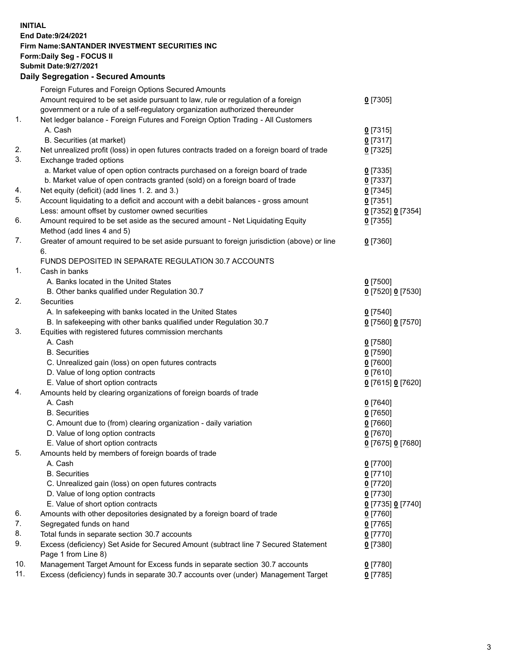**INITIAL End Date:9/24/2021 Firm Name:SANTANDER INVESTMENT SECURITIES INC Form:Daily Seg - FOCUS II Submit Date:9/27/2021 Daily Segregation - Secured Amounts**

|     | Foreign Futures and Foreign Options Secured Amounts                                         |                   |
|-----|---------------------------------------------------------------------------------------------|-------------------|
|     | Amount required to be set aside pursuant to law, rule or regulation of a foreign            | $0$ [7305]        |
|     | government or a rule of a self-regulatory organization authorized thereunder                |                   |
| 1.  | Net ledger balance - Foreign Futures and Foreign Option Trading - All Customers             |                   |
|     | A. Cash                                                                                     | $0$ [7315]        |
|     | B. Securities (at market)                                                                   | $0$ [7317]        |
| 2.  | Net unrealized profit (loss) in open futures contracts traded on a foreign board of trade   | $0$ [7325]        |
| 3.  | Exchange traded options                                                                     |                   |
|     | a. Market value of open option contracts purchased on a foreign board of trade              | $0$ [7335]        |
|     | b. Market value of open contracts granted (sold) on a foreign board of trade                | $0$ [7337]        |
| 4.  | Net equity (deficit) (add lines 1. 2. and 3.)                                               | $0$ [7345]        |
| 5.  | Account liquidating to a deficit and account with a debit balances - gross amount           | $0$ [7351]        |
|     | Less: amount offset by customer owned securities                                            | 0 [7352] 0 [7354] |
| 6.  | Amount required to be set aside as the secured amount - Net Liquidating Equity              | $0$ [7355]        |
|     | Method (add lines 4 and 5)                                                                  |                   |
| 7.  | Greater of amount required to be set aside pursuant to foreign jurisdiction (above) or line | $0$ [7360]        |
|     | 6.                                                                                          |                   |
|     | FUNDS DEPOSITED IN SEPARATE REGULATION 30.7 ACCOUNTS                                        |                   |
| 1.  | Cash in banks                                                                               |                   |
|     | A. Banks located in the United States                                                       | $0$ [7500]        |
|     | B. Other banks qualified under Regulation 30.7                                              | 0 [7520] 0 [7530] |
| 2.  | Securities                                                                                  |                   |
|     | A. In safekeeping with banks located in the United States                                   | $0$ [7540]        |
|     | B. In safekeeping with other banks qualified under Regulation 30.7                          | 0 [7560] 0 [7570] |
| 3.  | Equities with registered futures commission merchants                                       |                   |
|     | A. Cash                                                                                     | $0$ [7580]        |
|     | <b>B.</b> Securities                                                                        | $0$ [7590]        |
|     | C. Unrealized gain (loss) on open futures contracts                                         | $0$ [7600]        |
|     | D. Value of long option contracts                                                           | $0$ [7610]        |
|     | E. Value of short option contracts                                                          | 0 [7615] 0 [7620] |
| 4.  | Amounts held by clearing organizations of foreign boards of trade                           |                   |
|     | A. Cash                                                                                     | $0$ [7640]        |
|     | <b>B.</b> Securities                                                                        | $0$ [7650]        |
|     | C. Amount due to (from) clearing organization - daily variation                             | $0$ [7660]        |
|     | D. Value of long option contracts                                                           | $0$ [7670]        |
|     | E. Value of short option contracts                                                          | 0 [7675] 0 [7680] |
| 5.  | Amounts held by members of foreign boards of trade                                          |                   |
|     | A. Cash                                                                                     | $0$ [7700]        |
|     | <b>B.</b> Securities                                                                        | $0$ [7710]        |
|     | C. Unrealized gain (loss) on open futures contracts                                         | $0$ [7720]        |
|     | D. Value of long option contracts                                                           | $0$ [7730]        |
|     | E. Value of short option contracts                                                          | 0 [7735] 0 [7740] |
| 6.  | Amounts with other depositories designated by a foreign board of trade                      | $0$ [7760]        |
| 7.  | Segregated funds on hand                                                                    | $0$ [7765]        |
| 8.  | Total funds in separate section 30.7 accounts                                               | $0$ [7770]        |
| 9.  | Excess (deficiency) Set Aside for Secured Amount (subtract line 7 Secured Statement         | $0$ [7380]        |
|     | Page 1 from Line 8)                                                                         |                   |
| 10. | Management Target Amount for Excess funds in separate section 30.7 accounts                 | $0$ [7780]        |
| 11. | Excess (deficiency) funds in separate 30.7 accounts over (under) Management Target          | $0$ [7785]        |
|     |                                                                                             |                   |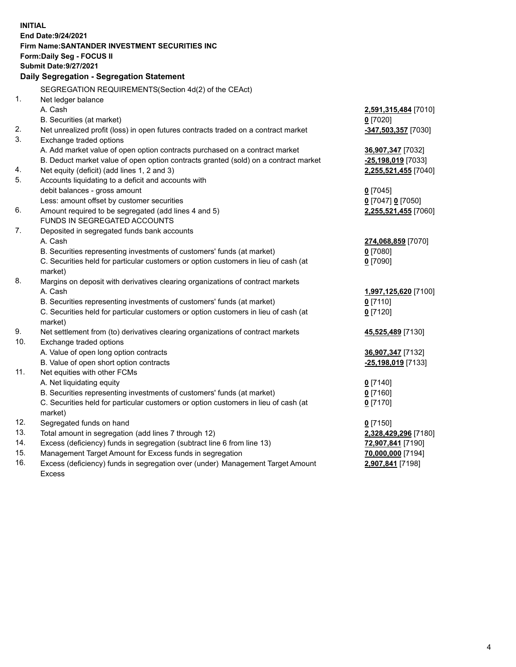| <b>INITIAL</b> |                                                                                           |                      |  |  |  |  |
|----------------|-------------------------------------------------------------------------------------------|----------------------|--|--|--|--|
|                | End Date: 9/24/2021                                                                       |                      |  |  |  |  |
|                | Firm Name: SANTANDER INVESTMENT SECURITIES INC                                            |                      |  |  |  |  |
|                | Form: Daily Seg - FOCUS II                                                                |                      |  |  |  |  |
|                | <b>Submit Date: 9/27/2021</b>                                                             |                      |  |  |  |  |
|                | Daily Segregation - Segregation Statement                                                 |                      |  |  |  |  |
|                | SEGREGATION REQUIREMENTS(Section 4d(2) of the CEAct)                                      |                      |  |  |  |  |
| 1.             | Net ledger balance                                                                        |                      |  |  |  |  |
|                | A. Cash                                                                                   | 2,591,315,484 [7010] |  |  |  |  |
|                | B. Securities (at market)                                                                 | $0$ [7020]           |  |  |  |  |
| 2.             | Net unrealized profit (loss) in open futures contracts traded on a contract market        | -347,503,357 [7030]  |  |  |  |  |
| 3.             | Exchange traded options                                                                   |                      |  |  |  |  |
|                | A. Add market value of open option contracts purchased on a contract market               | 36,907,347 [7032]    |  |  |  |  |
|                | B. Deduct market value of open option contracts granted (sold) on a contract market       | -25,198,019 [7033]   |  |  |  |  |
| 4.             | Net equity (deficit) (add lines 1, 2 and 3)                                               | 2,255,521,455 [7040] |  |  |  |  |
| 5.             | Accounts liquidating to a deficit and accounts with                                       |                      |  |  |  |  |
|                | debit balances - gross amount                                                             | $0$ [7045]           |  |  |  |  |
|                | Less: amount offset by customer securities                                                | 0 [7047] 0 [7050]    |  |  |  |  |
| 6.             | Amount required to be segregated (add lines 4 and 5)                                      | 2,255,521,455 [7060] |  |  |  |  |
|                | FUNDS IN SEGREGATED ACCOUNTS                                                              |                      |  |  |  |  |
| 7.             | Deposited in segregated funds bank accounts                                               |                      |  |  |  |  |
|                | A. Cash                                                                                   | 274,068,859 [7070]   |  |  |  |  |
|                | B. Securities representing investments of customers' funds (at market)                    | $0$ [7080]           |  |  |  |  |
|                | C. Securities held for particular customers or option customers in lieu of cash (at       | $0$ [7090]           |  |  |  |  |
| 8.             | market)<br>Margins on deposit with derivatives clearing organizations of contract markets |                      |  |  |  |  |
|                | A. Cash                                                                                   | 1,997,125,620 [7100] |  |  |  |  |
|                | B. Securities representing investments of customers' funds (at market)                    | $0$ [7110]           |  |  |  |  |
|                | C. Securities held for particular customers or option customers in lieu of cash (at       | $0$ [7120]           |  |  |  |  |
|                | market)                                                                                   |                      |  |  |  |  |
| 9.             | Net settlement from (to) derivatives clearing organizations of contract markets           | 45,525,489 [7130]    |  |  |  |  |
| 10.            | Exchange traded options                                                                   |                      |  |  |  |  |
|                | A. Value of open long option contracts                                                    | 36,907,347 [7132]    |  |  |  |  |
|                | B. Value of open short option contracts                                                   | -25,198,019 [7133]   |  |  |  |  |
| 11.            | Net equities with other FCMs                                                              |                      |  |  |  |  |
|                | A. Net liquidating equity                                                                 | $0$ [7140]           |  |  |  |  |
|                | B. Securities representing investments of customers' funds (at market)                    | $0$ [7160]           |  |  |  |  |
|                | C. Securities held for particular customers or option customers in lieu of cash (at       | $0$ [7170]           |  |  |  |  |
|                | market)                                                                                   |                      |  |  |  |  |
| 12.            | Segregated funds on hand                                                                  | $0$ [7150]           |  |  |  |  |
| 13.            | Total amount in segregation (add lines 7 through 12)                                      | 2,328,429,296 [7180] |  |  |  |  |
| 14.            | Excess (deficiency) funds in segregation (subtract line 6 from line 13)                   | 72,907,841 [7190]    |  |  |  |  |
| 15.            | Management Target Amount for Excess funds in segregation                                  | 70,000,000 [7194]    |  |  |  |  |
| 16.            | Excess (deficiency) funds in segregation over (under) Management Target Amount            | 2,907,841 [7198]     |  |  |  |  |
|                | <b>Excess</b>                                                                             |                      |  |  |  |  |